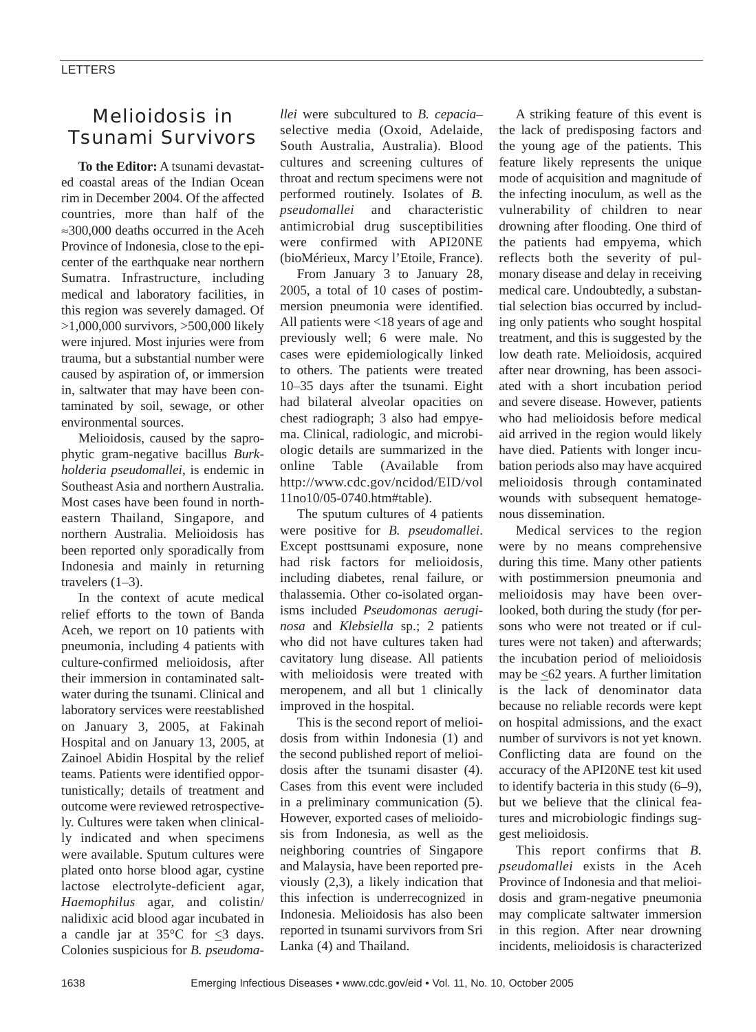## Melioidosis in Tsunami Survivors

**To the Editor:** A tsunami devastated coastal areas of the Indian Ocean rim in December 2004. Of the affected countries, more than half of the ≈300,000 deaths occurred in the Aceh Province of Indonesia, close to the epicenter of the earthquake near northern Sumatra. Infrastructure, including medical and laboratory facilities, in this region was severely damaged. Of >1,000,000 survivors, >500,000 likely were injured. Most injuries were from trauma, but a substantial number were caused by aspiration of, or immersion in, saltwater that may have been contaminated by soil, sewage, or other environmental sources.

Melioidosis, caused by the saprophytic gram-negative bacillus *Burkholderia pseudomallei*, is endemic in Southeast Asia and northern Australia. Most cases have been found in northeastern Thailand, Singapore, and northern Australia. Melioidosis has been reported only sporadically from Indonesia and mainly in returning travelers  $(1-3)$ .

In the context of acute medical relief efforts to the town of Banda Aceh, we report on 10 patients with pneumonia, including 4 patients with culture-confirmed melioidosis, after their immersion in contaminated saltwater during the tsunami. Clinical and laboratory services were reestablished on January 3, 2005, at Fakinah Hospital and on January 13, 2005, at Zainoel Abidin Hospital by the relief teams. Patients were identified opportunistically; details of treatment and outcome were reviewed retrospectively. Cultures were taken when clinically indicated and when specimens were available. Sputum cultures were plated onto horse blood agar, cystine lactose electrolyte-deficient agar, *Haemophilus* agar, and colistin/ nalidixic acid blood agar incubated in a candle jar at  $35^{\circ}$ C for  $\leq$ 3 days. Colonies suspicious for *B. pseudoma-*

*llei* were subcultured to *B. cepacia–* selective media (Oxoid, Adelaide, South Australia, Australia). Blood cultures and screening cultures of throat and rectum specimens were not performed routinely. Isolates of *B. pseudomallei* and characteristic antimicrobial drug susceptibilities were confirmed with API20NE (bioMérieux, Marcy l'Etoile, France).

From January 3 to January 28, 2005, a total of 10 cases of postimmersion pneumonia were identified. All patients were <18 years of age and previously well; 6 were male. No cases were epidemiologically linked to others. The patients were treated 10–35 days after the tsunami. Eight had bilateral alveolar opacities on chest radiograph; 3 also had empyema. Clinical, radiologic, and microbiologic details are summarized in the online Table (Available from http://www.cdc.gov/ncidod/EID/vol 11no10/05-0740.htm#table).

The sputum cultures of 4 patients were positive for *B. pseudomallei*. Except posttsunami exposure, none had risk factors for melioidosis, including diabetes, renal failure, or thalassemia. Other co-isolated organisms included *Pseudomonas aeruginosa* and *Klebsiella* sp.; 2 patients who did not have cultures taken had cavitatory lung disease. All patients with melioidosis were treated with meropenem, and all but 1 clinically improved in the hospital.

This is the second report of melioidosis from within Indonesia (1) and the second published report of melioidosis after the tsunami disaster (4). Cases from this event were included in a preliminary communication (5). However, exported cases of melioidosis from Indonesia, as well as the neighboring countries of Singapore and Malaysia, have been reported previously (2,3), a likely indication that this infection is underrecognized in Indonesia. Melioidosis has also been reported in tsunami survivors from Sri Lanka (4) and Thailand.

A striking feature of this event is the lack of predisposing factors and the young age of the patients. This feature likely represents the unique mode of acquisition and magnitude of the infecting inoculum, as well as the vulnerability of children to near drowning after flooding. One third of the patients had empyema, which reflects both the severity of pulmonary disease and delay in receiving medical care. Undoubtedly, a substantial selection bias occurred by including only patients who sought hospital treatment, and this is suggested by the low death rate. Melioidosis, acquired after near drowning, has been associated with a short incubation period and severe disease. However, patients who had melioidosis before medical aid arrived in the region would likely have died. Patients with longer incubation periods also may have acquired melioidosis through contaminated wounds with subsequent hematogenous dissemination.

Medical services to the region were by no means comprehensive during this time. Many other patients with postimmersion pneumonia and melioidosis may have been overlooked, both during the study (for persons who were not treated or if cultures were not taken) and afterwards; the incubation period of melioidosis may be  $\leq 62$  years. A further limitation is the lack of denominator data because no reliable records were kept on hospital admissions, and the exact number of survivors is not yet known. Conflicting data are found on the accuracy of the API20NE test kit used to identify bacteria in this study (6–9), but we believe that the clinical features and microbiologic findings suggest melioidosis.

This report confirms that *B. pseudomallei* exists in the Aceh Province of Indonesia and that melioidosis and gram-negative pneumonia may complicate saltwater immersion in this region. After near drowning incidents, melioidosis is characterized